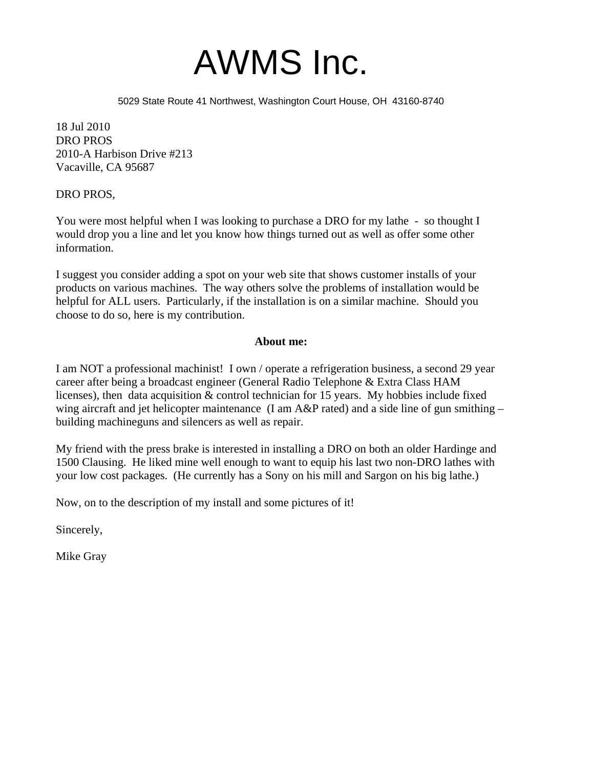

5029 State Route 41 Northwest, Washington Court House, OH 43160-8740

18 Jul 2010 DRO PROS 2010-A Harbison Drive #213 Vacaville, CA 95687

DRO PROS,

You were most helpful when I was looking to purchase a DRO for my lathe - so thought I would drop you a line and let you know how things turned out as well as offer some other information.

I suggest you consider adding a spot on your web site that shows customer installs of your products on various machines. The way others solve the problems of installation would be helpful for ALL users. Particularly, if the installation is on a similar machine. Should you choose to do so, here is my contribution.

#### **About me:**

I am NOT a professional machinist! I own / operate a refrigeration business, a second 29 year career after being a broadcast engineer (General Radio Telephone & Extra Class HAM licenses), then data acquisition & control technician for 15 years. My hobbies include fixed wing aircraft and jet helicopter maintenance (I am A&P rated) and a side line of gun smithing – building machineguns and silencers as well as repair.

My friend with the press brake is interested in installing a DRO on both an older Hardinge and 1500 Clausing. He liked mine well enough to want to equip his last two non-DRO lathes with your low cost packages. (He currently has a Sony on his mill and Sargon on his big lathe.)

Now, on to the description of my install and some pictures of it!

Sincerely,

Mike Gray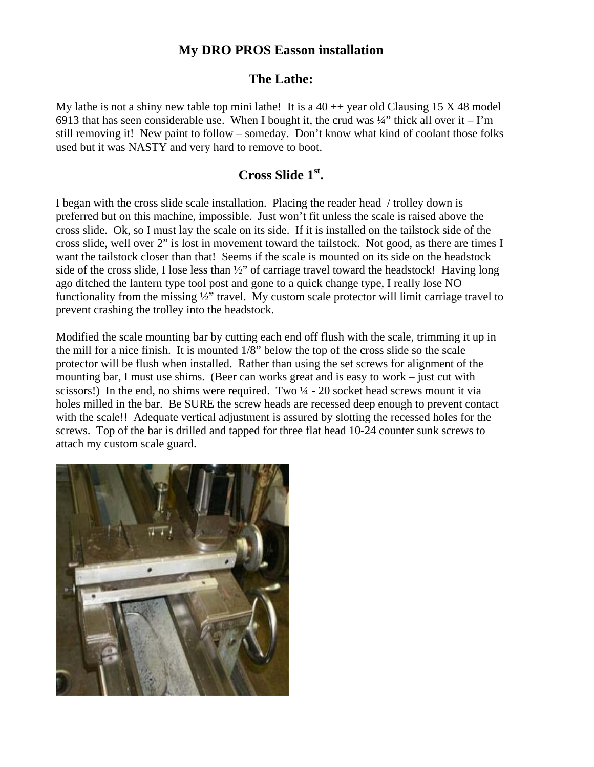## **My DRO PROS Easson installation**

### **The Lathe:**

My lathe is not a shiny new table top mini lathe! It is a  $40 + +$  year old Clausing 15 X 48 model 6913 that has seen considerable use. When I bought it, the crud was  $\frac{1}{4}$  thick all over it – I'm still removing it! New paint to follow – someday. Don't know what kind of coolant those folks used but it was NASTY and very hard to remove to boot.

# **Cross Slide 1st .**

I began with the cross slide scale installation. Placing the reader head / trolley down is preferred but on this machine, impossible. Just won't fit unless the scale is raised above the cross slide. Ok, so I must lay the scale on its side. If it is installed on the tailstock side of the cross slide, well over 2" is lost in movement toward the tailstock. Not good, as there are times I want the tailstock closer than that! Seems if the scale is mounted on its side on the headstock side of the cross slide, I lose less than ½" of carriage travel toward the headstock! Having long ago ditched the lantern type tool post and gone to a quick change type, I really lose NO functionality from the missing ½" travel. My custom scale protector will limit carriage travel to prevent crashing the trolley into the headstock.

Modified the scale mounting bar by cutting each end off flush with the scale, trimming it up in the mill for a nice finish. It is mounted 1/8" below the top of the cross slide so the scale protector will be flush when installed. Rather than using the set screws for alignment of the mounting bar, I must use shims. (Beer can works great and is easy to work – just cut with scissors!) In the end, no shims were required. Two  $\frac{1}{4}$  - 20 socket head screws mount it via holes milled in the bar. Be SURE the screw heads are recessed deep enough to prevent contact with the scale!! Adequate vertical adjustment is assured by slotting the recessed holes for the screws. Top of the bar is drilled and tapped for three flat head 10-24 counter sunk screws to attach my custom scale guard.

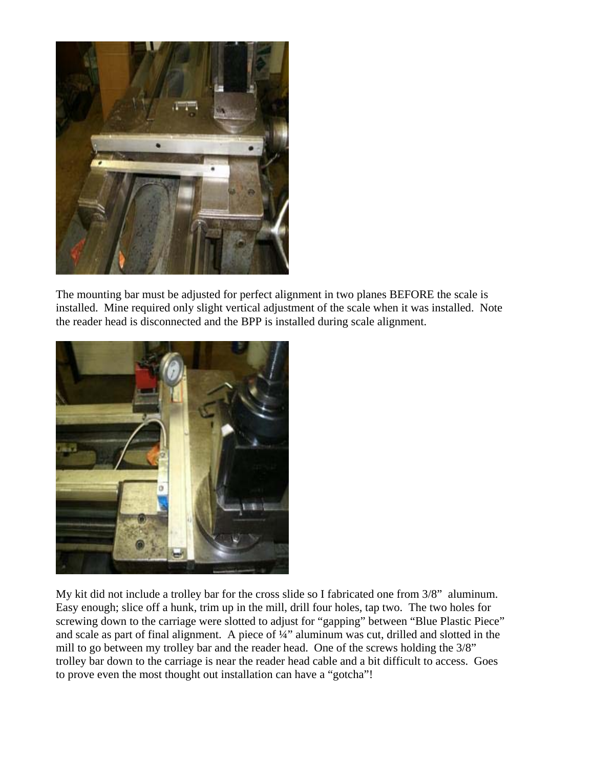

The mounting bar must be adjusted for perfect alignment in two planes BEFORE the scale is installed. Mine required only slight vertical adjustment of the scale when it was installed. Note the reader head is disconnected and the BPP is installed during scale alignment.



My kit did not include a trolley bar for the cross slide so I fabricated one from 3/8" aluminum. Easy enough; slice off a hunk, trim up in the mill, drill four holes, tap two. The two holes for screwing down to the carriage were slotted to adjust for "gapping" between "Blue Plastic Piece" and scale as part of final alignment. A piece of ¼" aluminum was cut, drilled and slotted in the mill to go between my trolley bar and the reader head. One of the screws holding the 3/8" trolley bar down to the carriage is near the reader head cable and a bit difficult to access. Goes to prove even the most thought out installation can have a "gotcha"!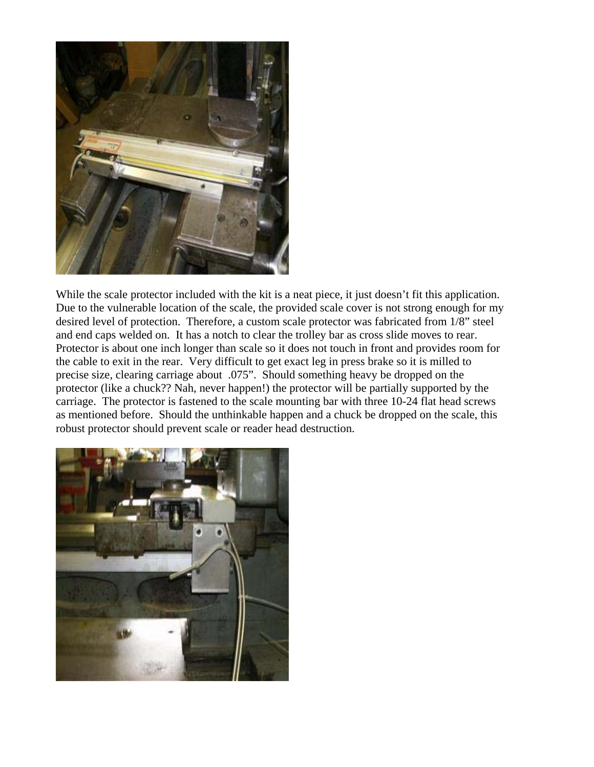

While the scale protector included with the kit is a neat piece, it just doesn't fit this application. Due to the vulnerable location of the scale, the provided scale cover is not strong enough for my desired level of protection. Therefore, a custom scale protector was fabricated from 1/8" steel and end caps welded on. It has a notch to clear the trolley bar as cross slide moves to rear. Protector is about one inch longer than scale so it does not touch in front and provides room for the cable to exit in the rear. Very difficult to get exact leg in press brake so it is milled to precise size, clearing carriage about .075". Should something heavy be dropped on the protector (like a chuck?? Nah, never happen!) the protector will be partially supported by the carriage. The protector is fastened to the scale mounting bar with three 10-24 flat head screws as mentioned before. Should the unthinkable happen and a chuck be dropped on the scale, this robust protector should prevent scale or reader head destruction.

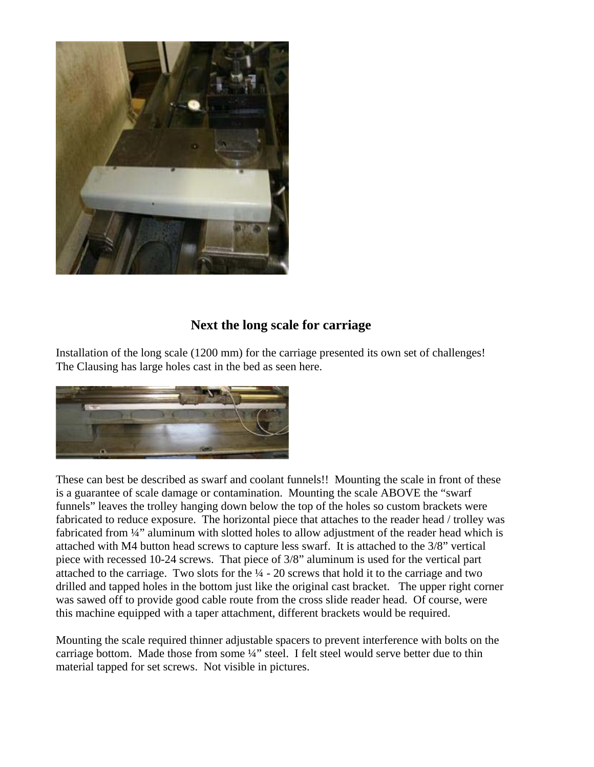

# **Next the long scale for carriage**

Installation of the long scale (1200 mm) for the carriage presented its own set of challenges! The Clausing has large holes cast in the bed as seen here.



These can best be described as swarf and coolant funnels!! Mounting the scale in front of these is a guarantee of scale damage or contamination. Mounting the scale ABOVE the "swarf funnels" leaves the trolley hanging down below the top of the holes so custom brackets were fabricated to reduce exposure. The horizontal piece that attaches to the reader head / trolley was fabricated from 1/4" aluminum with slotted holes to allow adjustment of the reader head which is attached with M4 button head screws to capture less swarf. It is attached to the 3/8" vertical piece with recessed 10-24 screws. That piece of 3/8" aluminum is used for the vertical part attached to the carriage. Two slots for the  $\frac{1}{4}$  - 20 screws that hold it to the carriage and two drilled and tapped holes in the bottom just like the original cast bracket. The upper right corner was sawed off to provide good cable route from the cross slide reader head. Of course, were this machine equipped with a taper attachment, different brackets would be required.

Mounting the scale required thinner adjustable spacers to prevent interference with bolts on the carriage bottom. Made those from some ¼" steel. I felt steel would serve better due to thin material tapped for set screws. Not visible in pictures.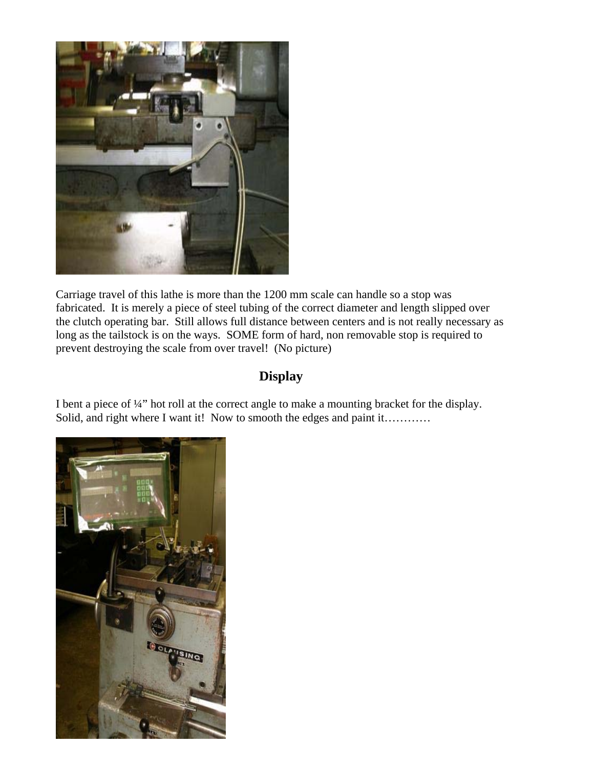

Carriage travel of this lathe is more than the 1200 mm scale can handle so a stop was fabricated. It is merely a piece of steel tubing of the correct diameter and length slipped over the clutch operating bar. Still allows full distance between centers and is not really necessary as long as the tailstock is on the ways. SOME form of hard, non removable stop is required to prevent destroying the scale from over travel! (No picture)

# **Display**

I bent a piece of ¼" hot roll at the correct angle to make a mounting bracket for the display. Solid, and right where I want it! Now to smooth the edges and paint it…………